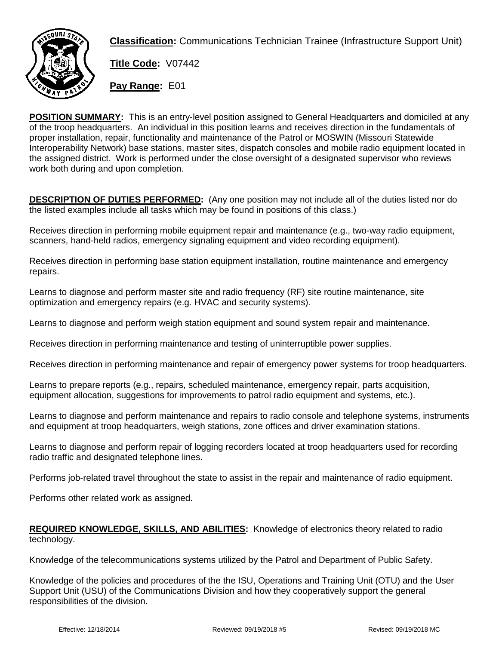

**Classification:** Communications Technician Trainee (Infrastructure Support Unit)

**Title Code:** V07442

**Pay Range:** E01

**POSITION SUMMARY:** This is an entry-level position assigned to General Headquarters and domiciled at any of the troop headquarters. An individual in this position learns and receives direction in the fundamentals of proper installation, repair, functionality and maintenance of the Patrol or MOSWIN (Missouri Statewide Interoperability Network) base stations, master sites, dispatch consoles and mobile radio equipment located in the assigned district. Work is performed under the close oversight of a designated supervisor who reviews work both during and upon completion.

**DESCRIPTION OF DUTIES PERFORMED:** (Any one position may not include all of the duties listed nor do the listed examples include all tasks which may be found in positions of this class.)

Receives direction in performing mobile equipment repair and maintenance (e.g., two-way radio equipment, scanners, hand-held radios, emergency signaling equipment and video recording equipment).

Receives direction in performing base station equipment installation, routine maintenance and emergency repairs.

Learns to diagnose and perform master site and radio frequency (RF) site routine maintenance, site optimization and emergency repairs (e.g. HVAC and security systems).

Learns to diagnose and perform weigh station equipment and sound system repair and maintenance.

Receives direction in performing maintenance and testing of uninterruptible power supplies.

Receives direction in performing maintenance and repair of emergency power systems for troop headquarters.

Learns to prepare reports (e.g., repairs, scheduled maintenance, emergency repair, parts acquisition, equipment allocation, suggestions for improvements to patrol radio equipment and systems, etc.).

Learns to diagnose and perform maintenance and repairs to radio console and telephone systems, instruments and equipment at troop headquarters, weigh stations, zone offices and driver examination stations.

Learns to diagnose and perform repair of logging recorders located at troop headquarters used for recording radio traffic and designated telephone lines.

Performs job-related travel throughout the state to assist in the repair and maintenance of radio equipment.

Performs other related work as assigned.

## **REQUIRED KNOWLEDGE, SKILLS, AND ABILITIES:** Knowledge of electronics theory related to radio technology.

Knowledge of the telecommunications systems utilized by the Patrol and Department of Public Safety.

Knowledge of the policies and procedures of the the ISU, Operations and Training Unit (OTU) and the User Support Unit (USU) of the Communications Division and how they cooperatively support the general responsibilities of the division.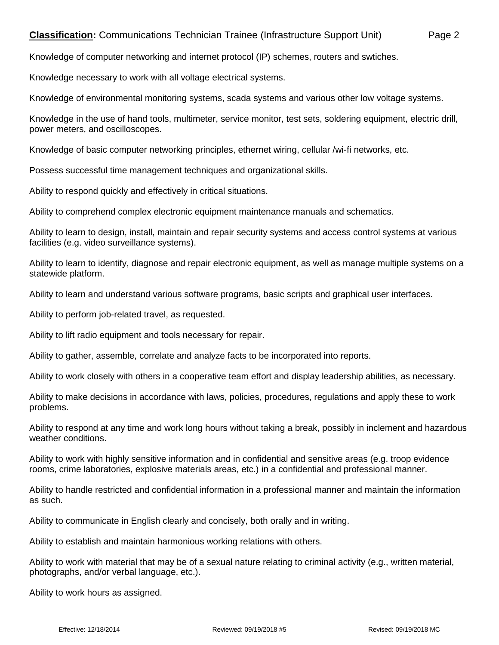## **Classification:** Communications Technician Trainee (Infrastructure Support Unit) Page 2

Knowledge of computer networking and internet protocol (IP) schemes, routers and swtiches.

Knowledge necessary to work with all voltage electrical systems.

Knowledge of environmental monitoring systems, scada systems and various other low voltage systems.

Knowledge in the use of hand tools, multimeter, service monitor, test sets, soldering equipment, electric drill, power meters, and oscilloscopes.

Knowledge of basic computer networking principles, ethernet wiring, cellular /wi-fi networks, etc.

Possess successful time management techniques and organizational skills.

Ability to respond quickly and effectively in critical situations.

Ability to comprehend complex electronic equipment maintenance manuals and schematics.

Ability to learn to design, install, maintain and repair security systems and access control systems at various facilities (e.g. video surveillance systems).

Ability to learn to identify, diagnose and repair electronic equipment, as well as manage multiple systems on a statewide platform.

Ability to learn and understand various software programs, basic scripts and graphical user interfaces.

Ability to perform job-related travel, as requested.

Ability to lift radio equipment and tools necessary for repair.

Ability to gather, assemble, correlate and analyze facts to be incorporated into reports.

Ability to work closely with others in a cooperative team effort and display leadership abilities, as necessary.

Ability to make decisions in accordance with laws, policies, procedures, regulations and apply these to work problems.

Ability to respond at any time and work long hours without taking a break, possibly in inclement and hazardous weather conditions.

Ability to work with highly sensitive information and in confidential and sensitive areas (e.g. troop evidence rooms, crime laboratories, explosive materials areas, etc.) in a confidential and professional manner.

Ability to handle restricted and confidential information in a professional manner and maintain the information as such.

Ability to communicate in English clearly and concisely, both orally and in writing.

Ability to establish and maintain harmonious working relations with others.

Ability to work with material that may be of a sexual nature relating to criminal activity (e.g., written material, photographs, and/or verbal language, etc.).

Ability to work hours as assigned.